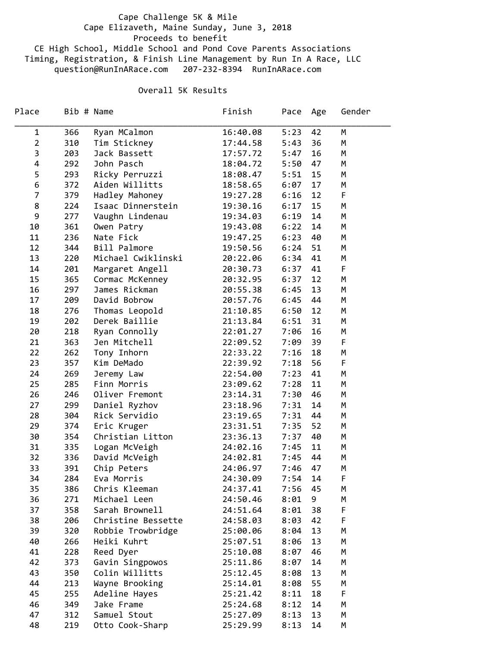## Cape Challenge 5K & Mile Cape Elizaveth, Maine Sunday, June 3, 2018 Proceeds to benefit CE High School, Middle School and Pond Cove Parents Associations Timing, Registration, & Finish Line Management by Run In A Race, LLC question@RunInARace.com 207‐232‐8394 RunInARace.com

## Overall 5K Results

| Place          |     | Bib # Name         | Finish   | Pace Age |    | Gender |
|----------------|-----|--------------------|----------|----------|----|--------|
| $\mathbf 1$    | 366 | Ryan MCalmon       | 16:40.08 | 5:23     | 42 | М      |
| $\overline{2}$ | 310 | Tim Stickney       | 17:44.58 | 5:43     | 36 | M      |
| 3              | 203 | Jack Bassett       | 17:57.72 | 5:47     | 16 | M      |
| 4              | 292 | John Pasch         | 18:04.72 | 5:50     | 47 | M      |
| 5              | 293 | Ricky Perruzzi     | 18:08.47 | 5:51     | 15 | M      |
| 6              | 372 | Aiden Willitts     | 18:58.65 | 6:07     | 17 | M      |
| 7              | 379 | Hadley Mahoney     | 19:27.28 | 6:16     | 12 | F      |
| 8              | 224 | Isaac Dinnerstein  | 19:30.16 | 6:17     | 15 | M      |
| 9              | 277 | Vaughn Lindenau    | 19:34.03 | 6:19     | 14 | M      |
| 10             | 361 | Owen Patry         | 19:43.08 | 6:22     | 14 | M      |
| 11             | 236 | Nate Fick          | 19:47.25 | 6:23     | 40 | M      |
| 12             | 344 | Bill Palmore       | 19:50.56 | 6:24     | 51 | M      |
| 13             | 220 | Michael Cwiklinski | 20:22.06 | 6:34     | 41 | M      |
| 14             | 201 | Margaret Angell    | 20:30.73 | 6:37     | 41 | F      |
| 15             | 365 | Cormac McKenney    | 20:32.95 | 6:37     | 12 | M      |
| 16             | 297 | James Rickman      | 20:55.38 | 6:45     | 13 | M      |
| 17             | 209 | David Bobrow       | 20:57.76 | 6:45     | 44 | M      |
| 18             | 276 | Thomas Leopold     | 21:10.85 | 6:50     | 12 | M      |
| 19             | 202 | Derek Baillie      | 21:13.84 | 6:51     | 31 | M      |
| 20             | 218 | Ryan Connolly      | 22:01.27 | 7:06     | 16 | M      |
| 21             | 363 | Jen Mitchell       | 22:09.52 | 7:09     | 39 | F      |
| 22             | 262 | Tony Inhorn        | 22:33.22 | 7:16     | 18 | M      |
| 23             | 357 | Kim DeMado         | 22:39.92 | 7:18     | 56 | F      |
| 24             | 269 | Jeremy Law         | 22:54.00 | 7:23     | 41 | M      |
| 25             | 285 | Finn Morris        | 23:09.62 | 7:28     | 11 | M      |
| 26             | 246 | Oliver Fremont     | 23:14.31 | 7:30     | 46 | М      |
| 27             | 299 | Daniel Ryzhov      | 23:18.96 | 7:31     | 14 | M      |
| 28             | 304 | Rick Servidio      | 23:19.65 | 7:31     | 44 | M      |
| 29             | 374 | Eric Kruger        | 23:31.51 | 7:35     | 52 | M      |
| 30             | 354 | Christian Litton   | 23:36.13 | 7:37     | 40 | M      |
| 31             | 335 | Logan McVeigh      | 24:02.16 | 7:45     | 11 | M      |
| 32             | 336 | David McVeigh      | 24:02.81 | 7:45     | 44 | M      |
| 33             | 391 | Chip Peters        | 24:06.97 | 7:46     | 47 | М      |
| 34             | 284 | Eva Morris         | 24:30.09 | 7:54     | 14 | F      |
| 35             | 386 | Chris Kleeman      | 24:37.41 | 7:56     | 45 | М      |
| 36             | 271 | Michael Leen       | 24:50.46 | 8:01     | 9  | M      |
| 37             | 358 | Sarah Brownell     | 24:51.64 | 8:01     | 38 | F      |
| 38             | 206 | Christine Bessette | 24:58.03 | 8:03     | 42 | F      |
| 39             | 320 | Robbie Trowbridge  | 25:00.06 | 8:04     | 13 | M      |
| 40             | 266 | Heiki Kuhrt        | 25:07.51 | 8:06     | 13 | M      |
| 41             | 228 | Reed Dyer          | 25:10.08 | 8:07     | 46 | M      |
| 42             | 373 | Gavin Singpowos    | 25:11.86 | 8:07     | 14 | M      |
| 43             | 350 | Colin Willitts     | 25:12.45 | 8:08     | 13 | M      |
| 44             | 213 | Wayne Brooking     | 25:14.01 | 8:08     | 55 | М      |
| 45             | 255 | Adeline Hayes      | 25:21.42 | 8:11     | 18 | F      |
| 46             | 349 | Jake Frame         | 25:24.68 | 8:12     | 14 | M      |
| 47             | 312 | Samuel Stout       | 25:27.09 | 8:13     | 13 | M      |
| 48             | 219 | Otto Cook-Sharp    | 25:29.99 | 8:13     | 14 | М      |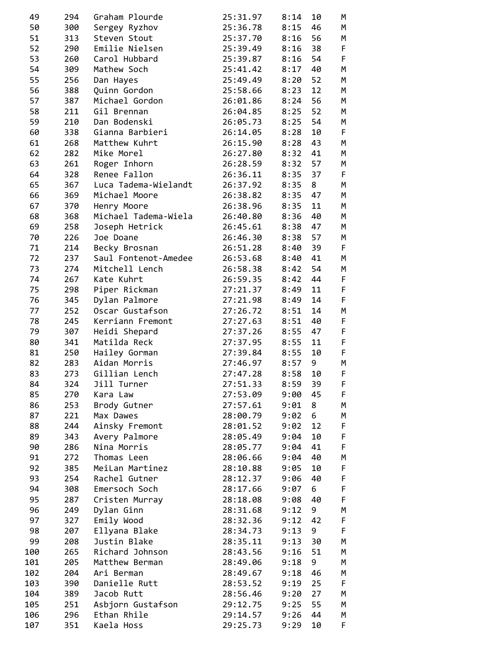| 49       | 294        | Graham Plourde                        | 25:31.97             | 8:14         | 10   | М |  |
|----------|------------|---------------------------------------|----------------------|--------------|------|---|--|
| 50       | 300        | Sergey Ryzhov                         | 25:36.78             | 8:15         | 46   | М |  |
| 51       | 313        | Steven Stout                          | 25:37.70             | 8:16         | 56   | M |  |
| 52       | 290        | Emilie Nielsen                        | 25:39.49             | 8:16         | 38   | F |  |
| 53       | 260        | Carol Hubbard                         | 25:39.87             | 8:16         | 54   | F |  |
| 54       | 309        | Mathew Soch                           | 25:41.42             | $8:17$ 40    |      | M |  |
| 55       | 256        | Dan Hayes                             | 25:49.49             | 8:20         | 52   | M |  |
| 56       | 388        | Quinn Gordon                          | 25:58.66             | 8:23         | 12   | M |  |
| 57       | 387        | Michael Gordon                        | 26:01.86             | 8:24         | 56   | M |  |
| 58       | 211        | Gil Brennan                           | 26:04.85             | 8:25         | 52   | М |  |
| 59       | 210        | Dan Bodenski                          | 26:05.73             | 8:25         | 54   | M |  |
| 60       | 338        | Gianna Barbieri                       | 26:14.05             | 8:28         | 10   | F |  |
| 61       | 268        | Matthew Kuhrt                         | 26:15.90             | 8:28         | 43   | M |  |
| 62       | 282        | Mike Morel                            | 26:27.80             | 8:32 41      |      | M |  |
| 63       | 261        | Roger Inhorn                          | 26:28.59             | 8:32         | 57   | M |  |
| 64       | 328        | Renee Fallon                          | 26:36.11             | 8:35 37      |      | F |  |
| 65       | 367        | Luca Tadema-Wielandt                  | 26:37.92             | 8:358        |      | M |  |
| 66       | 369        | Michael Moore                         | 26:38.82             | 8:35 47      |      | M |  |
| 67       |            | Henry Moore                           | 26:38.96             | 8:35         | 11   | M |  |
|          | 370<br>368 | Michael Tadema-Wiela                  |                      | 8:36 40      |      | M |  |
| 68<br>69 |            |                                       | 26:40.80             | 8:38 47      |      | M |  |
| 70       | 258<br>226 | Joseph Hetrick<br>Joe Doane           | 26:45.61<br>26:46.30 |              | 57   | M |  |
| 71       |            |                                       |                      | 8:38         | - 39 | F |  |
| 72       | 214<br>237 | Becky Brosnan<br>Saul Fontenot-Amedee | 26:51.28             | 8:40         | 41   | M |  |
| 73       | 274        | Mitchell Lench                        | 26:53.68<br>26:58.38 | 8:40<br>8:42 | 54   | M |  |
| 74       | 267        | Kate Kuhrt                            |                      | 8:42         | 44   | F |  |
|          |            |                                       | 26:59.35             |              | 11   | F |  |
| 75<br>76 | 298        | Piper Rickman                         | 27:21.37<br>27:21.98 | 8:49         | 14   | F |  |
| 77       | 345<br>252 | Dylan Palmore<br>Oscar Gustafson      |                      | 8:49<br>8:51 | 14   | M |  |
| 78       | 245        | Kerriann Fremont                      | 27:26.72<br>27:27.63 | 8:51         | 40   | F |  |
| 79       | 307        | Heidi Shepard                         | 27:37.26             | 8:55         | 47   | F |  |
| 80       | 341        | Matilda Reck                          | 27:37.95             | 8:55         | 11   | F |  |
| 81       | 250        | Hailey Gorman                         | 27:39.84             | 8:55         | 10   | F |  |
| 82       | 283        | Aidan Morris                          | 27:46.97             | 8:57         | 9    | M |  |
| 83       | 273        | Gillian Lench                         | 27:47.28             | 8:58         | 10   | F |  |
| 84       | 324        | Jill Turner                           | 27:51.33             | 8:59         | 39   | F |  |
| 85       | 270        | Kara Law                              | 27:53.09             | 9:00         | 45   | F |  |
| 86       | 253        | Brody Gutner                          | 27:57.61             | 9:01         | 8    | М |  |
| 87       | 221        | Max Dawes                             | 28:00.79             | 9:02         | 6    | M |  |
| 88       | 244        | Ainsky Fremont                        | 28:01.52             | 9:02         | 12   | F |  |
| 89       | 343        | Avery Palmore                         | 28:05.49             | 9:04         | 10   | F |  |
| 90       | 286        | Nina Morris                           | 28:05.77             | 9:04         | 41   | F |  |
| 91       | 272        | Thomas Leen                           | 28:06.66             | 9:04         | 40   | M |  |
| 92       | 385        | MeiLan Martinez                       | 28:10.88             | 9:05         | 10   | F |  |
| 93       | 254        | Rachel Gutner                         | 28:12.37             | 9:06         | 40   | F |  |
| 94       | 308        | Emersoch Soch                         | 28:17.66             | 9:07         | 6    | F |  |
| 95       | 287        | Cristen Murray                        | 28:18.08             | 9:08         | 40   | F |  |
| 96       | 249        | Dylan Ginn                            | 28:31.68             | 9:12         | 9    | М |  |
| 97       | 327        | Emily Wood                            | 28:32.36             | 9:12         | 42   | F |  |
| 98       | 207        | Ellyana Blake                         | 28:34.73             | 9:13         | 9    | F |  |
| 99       | 208        | Justin Blake                          | 28:35.11             | 9:13         | 30   | М |  |
| 100      | 265        | Richard Johnson                       | 28:43.56             | 9:16         | 51   | М |  |
| 101      | 205        | Matthew Berman                        | 28:49.06             | 9:18         | 9    | М |  |
| 102      | 204        | Ari Berman                            | 28:49.67             | 9:18         | 46   | М |  |
| 103      | 390        | Danielle Rutt                         | 28:53.52             | 9:19         | 25   | F |  |
| 104      | 389        | Jacob Rutt                            | 28:56.46             | 9:20         | 27   | M |  |
| 105      | 251        | Asbjorn Gustafson                     | 29:12.75             | 9:25         | 55   | M |  |
| 106      | 296        | Ethan Rhile                           | 29:14.57             | 9:26         | 44   | М |  |
| 107      | 351        | Kaela Hoss                            | 29:25.73             | 9:29         | 10   | F |  |
|          |            |                                       |                      |              |      |   |  |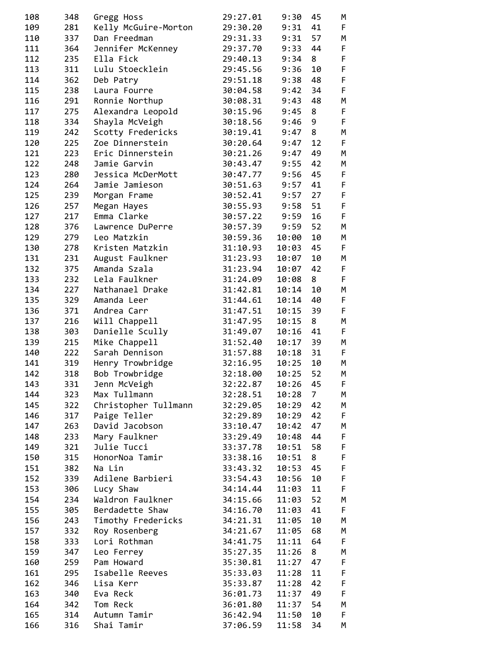| 108 | 348 | Gregg Hoss           | 29:27.01 | 9:30      | 45             | М           |
|-----|-----|----------------------|----------|-----------|----------------|-------------|
| 109 | 281 | Kelly McGuire-Morton | 29:30.20 | 9:31      | 41             | F           |
| 110 | 337 | Dan Freedman         | 29:31.33 | 9:31      | 57             | M           |
| 111 | 364 | Jennifer McKenney    | 29:37.70 | $9:33$ 44 |                | $\mathsf F$ |
| 112 | 235 | Ella Fick            | 29:40.13 | $9:34$ 8  |                | F           |
| 113 | 311 | Lulu Stoecklein      | 29:45.56 | 9:36      | 10             | F           |
| 114 | 362 | Deb Patry            | 29:51.18 | 9:38      | 48             | $\mathsf F$ |
| 115 | 238 | Laura Fourre         | 30:04.58 | 9:42      | 34             | F           |
| 116 | 291 | Ronnie Northup       | 30:08.31 | 9:43      | 48             | M           |
| 117 | 275 | Alexandra Leopold    | 30:15.96 | 9:45      | 8              | F           |
| 118 | 334 | Shayla McVeigh       | 30:18.56 | 9:46      | 9              | F           |
| 119 | 242 | Scotty Fredericks    | 30:19.41 | 9:47      | 8              | M           |
| 120 | 225 | Zoe Dinnerstein      | 30:20.64 | 9:47      | 12             | F           |
| 121 | 223 | Eric Dinnerstein     | 30:21.26 | 9:47      | 49             | M           |
| 122 | 248 | Jamie Garvin         | 30:43.47 | 9:55      | 42             | M           |
| 123 | 280 | Jessica McDerMott    | 30:47.77 | 9:56 45   |                | F           |
| 124 | 264 | Jamie Jamieson       | 30:51.63 | 9:57      | 41             | F           |
| 125 | 239 | Morgan Frame         | 30:52.41 | $9:57$ 27 |                | $\mathsf F$ |
| 126 | 257 | Megan Hayes          | 30:55.93 | 9:58      | 51             | $\mathsf F$ |
| 127 | 217 | Emma Clarke          | 30:57.22 | 9:59      | 16             | $\mathsf F$ |
| 128 | 376 | Lawrence DuPerre     | 30:57.39 | 9:59      | 52             | M           |
| 129 | 279 | Leo Matzkin          | 30:59.36 | 10:00     | 10             | M           |
| 130 | 278 | Kristen Matzkin      | 31:10.93 | 10:03     | 45             | F           |
| 131 | 231 | August Faulkner      | 31:23.93 | 10:07     | 10             | M           |
| 132 | 375 | Amanda Szala         | 31:23.94 | 10:07     | 42             | F           |
|     |     | Lela Faulkner        | 31:24.09 |           | 8              | F           |
| 133 | 232 |                      |          | 10:08     |                | M           |
| 134 | 227 | Nathanael Drake      | 31:42.81 | 10:14     | 10             |             |
| 135 | 329 | Amanda Leer          | 31:44.61 | 10:14     | 40             | F<br>F      |
| 136 | 371 | Andrea Carr          | 31:47.51 | 10:15     | 39             |             |
| 137 | 216 | Will Chappell        | 31:47.95 | 10:15     | 8              | М           |
| 138 | 303 | Danielle Scully      | 31:49.07 | 10:16     | 41             | F           |
| 139 | 215 | Mike Chappell        | 31:52.40 | 10:17     | 39             | M           |
| 140 | 222 | Sarah Dennison       | 31:57.88 | 10:18     | 31             | F           |
| 141 | 319 | Henry Trowbridge     | 32:16.95 | 10:25     | 10             | M           |
| 142 | 318 | Bob Trowbridge       | 32:18.00 | 10:25     | 52             | M           |
| 143 | 331 | Jenn McVeigh         | 32:22.87 | 10:26     | 45             | F           |
| 144 | 323 | Max Tullmann         | 32:28.51 | 10:28     | 7 <sup>7</sup> | М           |
| 145 | 322 | Christopher Tullmann | 32:29.05 | 10:29     | 42             | M           |
| 146 | 317 | Paige Teller         | 32:29.89 | 10:29     | 42             | F           |
| 147 | 263 | David Jacobson       | 33:10.47 | 10:42 47  |                | M           |
| 148 | 233 | Mary Faulkner        | 33:29.49 | 10:48 44  |                | $\mathsf F$ |
| 149 | 321 | Julie Tucci          | 33:37.78 | 10:51     | 58             | $\mathsf F$ |
| 150 | 315 | HonorNoa Tamir       | 33:38.16 | 10:51     | 8              | $\mathsf F$ |
| 151 | 382 | Na Lin               | 33:43.32 | 10:53     | 45             | $\mathsf F$ |
| 152 | 339 | Adilene Barbieri     | 33:54.43 | 10:56     | 10             | F           |
| 153 | 306 | Lucy Shaw            | 34:14.44 | 11:03     | 11             | F           |
| 154 | 234 | Waldron Faulkner     | 34:15.66 | 11:03     | 52             | M           |
| 155 | 305 | Berdadette Shaw      | 34:16.70 | 11:03     | 41             | F           |
| 156 | 243 | Timothy Fredericks   | 34:21.31 | 11:05     | 10             | M           |
| 157 | 332 | Roy Rosenberg        | 34:21.67 | 11:05     | 68             | М           |
| 158 | 333 | Lori Rothman         | 34:41.75 | 11:11     | 64             | F           |
| 159 | 347 | Leo Ferrey           | 35:27.35 | 11:26     | 8              | M           |
| 160 | 259 | Pam Howard           | 35:30.81 | 11:27     | 47             | F           |
| 161 | 295 | Isabelle Reeves      | 35:33.03 | 11:28     | 11             | F           |
| 162 | 346 | Lisa Kerr            | 35:33.87 | 11:28     | 42             | $\mathsf F$ |
| 163 | 340 | Eva Reck             | 36:01.73 | 11:37 49  |                | $\mathsf F$ |
| 164 | 342 | Tom Reck             | 36:01.80 | 11:37     | 54             | M           |
| 165 | 314 | Autumn Tamir         | 36:42.94 | 11:50     | 10             | F           |
| 166 | 316 | Shai Tamir           | 37:06.59 | 11:58     | 34             | М           |